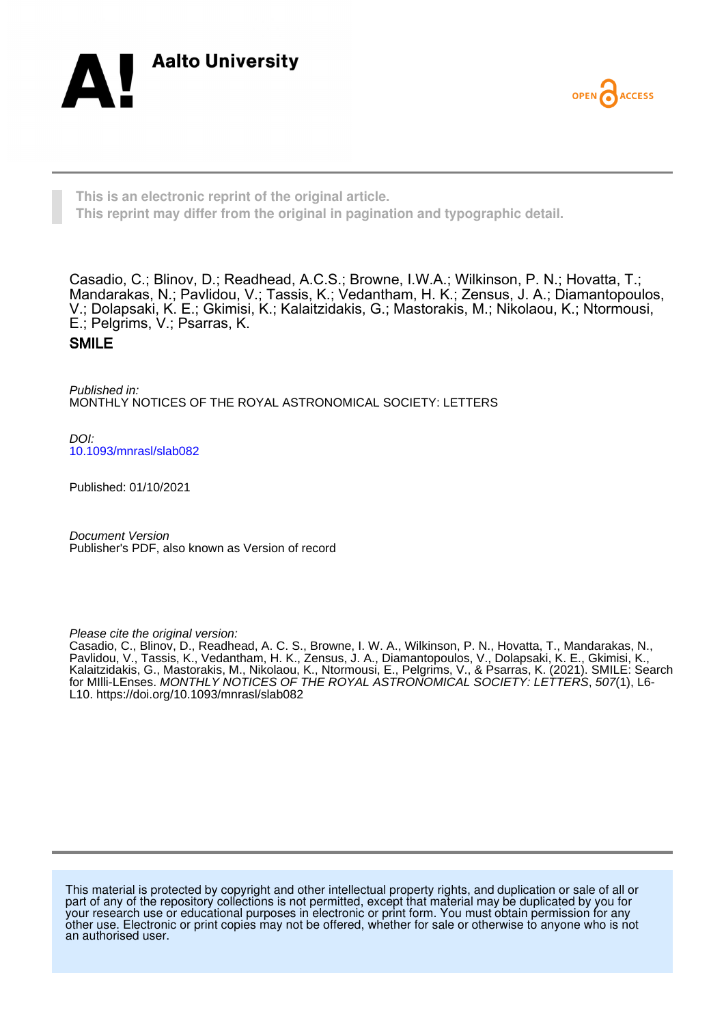



**This is an electronic reprint of the original article. This reprint may differ from the original in pagination and typographic detail.**

Casadio, C.; Blinov, D.; Readhead, A.C.S.; Browne, I.W.A.; Wilkinson, P. N.; Hovatta, T.; Mandarakas, N.; Pavlidou, V.; Tassis, K.; Vedantham, H. K.; Zensus, J. A.; Diamantopoulos, V.; Dolapsaki, K. E.; Gkimisi, K.; Kalaitzidakis, G.; Mastorakis, M.; Nikolaou, K.; Ntormousi, E.; Pelgrims, V.; Psarras, K. SMILE

Published in: MONTHLY NOTICES OF THE ROYAL ASTRONOMICAL SOCIETY: LETTERS

DOI: [10.1093/mnrasl/slab082](https://doi.org/10.1093/mnrasl/slab082)

Published: 01/10/2021

Document Version Publisher's PDF, also known as Version of record

Please cite the original version:

Casadio, C., Blinov, D., Readhead, A. C. S., Browne, I. W. A., Wilkinson, P. N., Hovatta, T., Mandarakas, N., Pavlidou, V., Tassis, K., Vedantham, H. K., Zensus, J. A., Diamantopoulos, V., Dolapsaki, K. E., Gkimisi, K., Kalaitzidakis, G., Mastorakis, M., Nikolaou, K., Ntormousi, E., Pelgrims, V., & Psarras, K. (2021). SMILE: Search for MIlli-LEnses. MONTHLY NOTICES OF THE ROYAL ASTRONOMICAL SOCIETY: LETTERS, 507(1), L6- L10.<https://doi.org/10.1093/mnrasl/slab082>

This material is protected by copyright and other intellectual property rights, and duplication or sale of all or part of any of the repository collections is not permitted, except that material may be duplicated by you for your research use or educational purposes in electronic or print form. You must obtain permission for any other use. Electronic or print copies may not be offered, whether for sale or otherwise to anyone who is not an authorised user.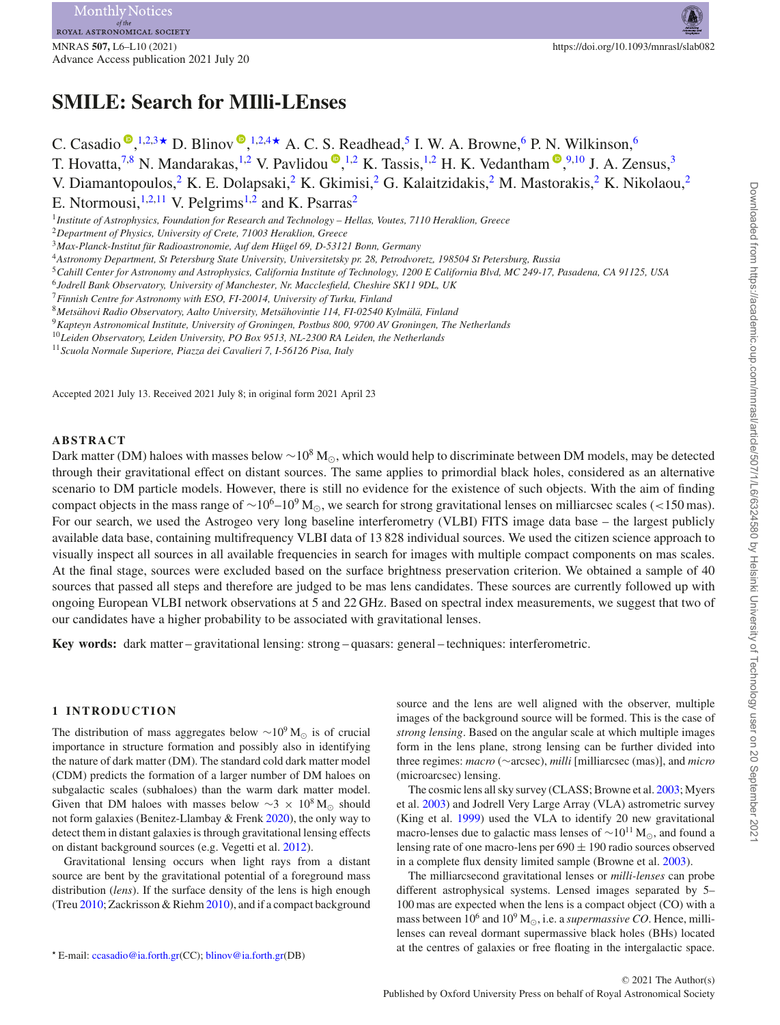MNRAS **507,** L6–L10 (2021) https://doi.org/10.1093/mnrasl/slab082 Advance Access publication 2021 July 20

# **SMILE: Search for MIlli-LEnses**

C. Casadio  $\mathbb{P}, ^{1,2,3\star}$  $\mathbb{P}, ^{1,2,3\star}$  $\mathbb{P}, ^{1,2,3\star}$  $\mathbb{P}, ^{1,2,3\star}$  $\mathbb{P}, ^{1,2,3\star}$  $\mathbb{P}, ^{1,2,3\star}$  $\mathbb{P}, ^{1,2,3\star}$  D. Blinov  $\mathbb{P}, ^{1,2,4\star}$  $\mathbb{P}, ^{1,2,4\star}$  $\mathbb{P}, ^{1,2,4\star}$  $\mathbb{P}, ^{1,2,4\star}$  $\mathbb{P}, ^{1,2,4\star}$  A. C. S. Readhead,<sup>5</sup> I. W. A. Browne,<sup>6</sup> P. N. Wilkinson,<sup>6</sup> T. Hovatta,<sup>[7,](#page-1-7)[8](#page-1-8)</sup> N. Mandarakas,<sup>[1](#page-1-0)[,2](#page-1-1)</sup> V. Pavlidou  $\bullet$ [,](http://orcid.org/0000-0002-0872-181X)<sup>1,2</sup> K. Tassis,<sup>1,2</sup> H. K. Vedantham  $\bullet$ ,<sup>9[,1](#page-1-0)0</sup> J. A. Zensus,<sup>3</sup> V. Diamantopoulos,<sup>[2](#page-1-1)</sup> K. E. Dolapsaki,<sup>2</sup> K. Gkimisi,<sup>2</sup> G. Kalaitzidakis,<sup>2</sup> M. Mastorakis,<sup>2</sup> K. Nikolaou,<sup>2</sup> E. Ntormousi, $1,2,11$  $1,2,11$  $1,2,11$  V. Pelgrims<sup>1[,2](#page-1-1)</sup> and K. Psarras<sup>[2](#page-1-1)</sup> <sup>1</sup>*Institute of Astrophysics, Foundation for Research and Technology – Hellas, Voutes, 7110 Heraklion, Greece*

<span id="page-1-1"></span><span id="page-1-0"></span><sup>2</sup>*Department of Physics, University of Crete, 71003 Heraklion, Greece*

<span id="page-1-2"></span><sup>3</sup>*Max-Planck-Institut fur Radioastronomie, Auf dem H ¨ ugel 69, D-53121 Bonn, Germany ¨*

<span id="page-1-4"></span><sup>4</sup>*Astronomy Department, St Petersburg State University, Universitetsky pr. 28, Petrodvoretz, 198504 St Petersburg, Russia*

- <span id="page-1-5"></span><sup>5</sup>*Cahill Center for Astronomy and Astrophysics, California Institute of Technology, 1200 E California Blvd, MC 249-17, Pasadena, CA 91125, USA*
- <span id="page-1-6"></span><sup>6</sup>*Jodrell Bank Observatory, University of Manchester, Nr. Macclesfield, Cheshire SK11 9DL, UK*

<span id="page-1-8"></span><sup>8</sup>*Metsahovi Radio Observatory, Aalto University, Mets ¨ ahovintie 114, FI-02540 Kylm ¨ al¨ a, Finland ¨*

<span id="page-1-9"></span><sup>9</sup>*Kapteyn Astronomical Institute, University of Groningen, Postbus 800, 9700 AV Groningen, The Netherlands*

<span id="page-1-10"></span><sup>10</sup>*Leiden Observatory, Leiden University, PO Box 9513, NL-2300 RA Leiden, the Netherlands*

<span id="page-1-11"></span><sup>11</sup>*Scuola Normale Superiore, Piazza dei Cavalieri 7, I-56126 Pisa, Italy*

Accepted 2021 July 13. Received 2021 July 8; in original form 2021 April 23

# **ABSTRACT**

Dark matter (DM) haloes with masses below ~10<sup>8</sup> M<sub>o</sub>, which would help to discriminate between DM models, may be detected through their gravitational effect on distant sources. The same applies to primordial black holes, considered as an alternative scenario to DM particle models. However, there is still no evidence for the existence of such objects. With the aim of finding compact objects in the mass range of ~10<sup>6</sup>–10<sup>9</sup> M<sub>☉</sub>, we search for strong gravitational lenses on milliarcsec scales (<150 mas). For our search, we used the Astrogeo very long baseline interferometry (VLBI) FITS image data base – the largest publicly available data base, containing multifrequency VLBI data of 13 828 individual sources. We used the citizen science approach to visually inspect all sources in all available frequencies in search for images with multiple compact components on mas scales. At the final stage, sources were excluded based on the surface brightness preservation criterion. We obtained a sample of 40 sources that passed all steps and therefore are judged to be mas lens candidates. These sources are currently followed up with ongoing European VLBI network observations at 5 and 22 GHz. Based on spectral index measurements, we suggest that two of our candidates have a higher probability to be associated with gravitational lenses.

**Key words:** dark matter – gravitational lensing: strong – quasars: general – techniques: interferometric.

## **1 INTRODUCTION**

The distribution of mass aggregates below  $\sim$ 10<sup>9</sup> M<sub>☉</sub> is of crucial importance in structure formation and possibly also in identifying the nature of dark matter (DM). The standard cold dark matter model (CDM) predicts the formation of a larger number of DM haloes on subgalactic scales (subhaloes) than the warm dark matter model. Given that DM haloes with masses below  $\sim$ 3 × 10<sup>8</sup> M<sub>☉</sub> should not form galaxies (Benitez-Llambay & Frenk [2020\)](#page-5-0), the only way to detect them in distant galaxies is through gravitational lensing effects on distant background sources (e.g. Vegetti et al. [2012\)](#page-5-1).

Gravitational lensing occurs when light rays from a distant source are bent by the gravitational potential of a foreground mass distribution (*lens*). If the surface density of the lens is high enough (Treu [2010;](#page-5-2) Zackrisson & Riehm [2010\)](#page-5-3), and if a compact background source and the lens are well aligned with the observer, multiple images of the background source will be formed. This is the case of *strong lensing*. Based on the angular scale at which multiple images form in the lens plane, strong lensing can be further divided into three regimes: *macro* (∼arcsec), *milli* [milliarcsec (mas)], and *micro* (microarcsec) lensing.

The cosmic lens all sky survey (CLASS; Browne et al. [2003;](#page-5-4) Myers et al. [2003\)](#page-5-5) and Jodrell Very Large Array (VLA) astrometric survey (King et al. [1999\)](#page-5-6) used the VLA to identify 20 new gravitational macro-lenses due to galactic mass lenses of  $\sim 10^{11}$  M<sub> $\odot$ </sub>, and found a lensing rate of one macro-lens per  $690 \pm 190$  radio sources observed in a complete flux density limited sample (Browne et al. [2003\)](#page-5-4).

The milliarcsecond gravitational lenses or *milli-lenses* can probe different astrophysical systems. Lensed images separated by 5– 100 mas are expected when the lens is a compact object (CO) with a mass between  $10^6$  and  $10^9$  M<sub> $\odot$ </sub>, i.e. a *supermassive CO*. Hence, millilenses can reveal dormant supermassive black holes (BHs) located at the centres of galaxies or free floating in the intergalactic space.

<span id="page-1-7"></span><sup>7</sup>*Finnish Centre for Astronomy with ESO, FI-20014, University of Turku, Finland*

<span id="page-1-3"></span>*<sup>-</sup>* E-mail: [ccasadio@ia.forth.gr\(](mailto:ccasadio@ia.forth.gr)CC); [blinov@ia.forth.gr\(](mailto:blinov@ia.forth.gr)DB)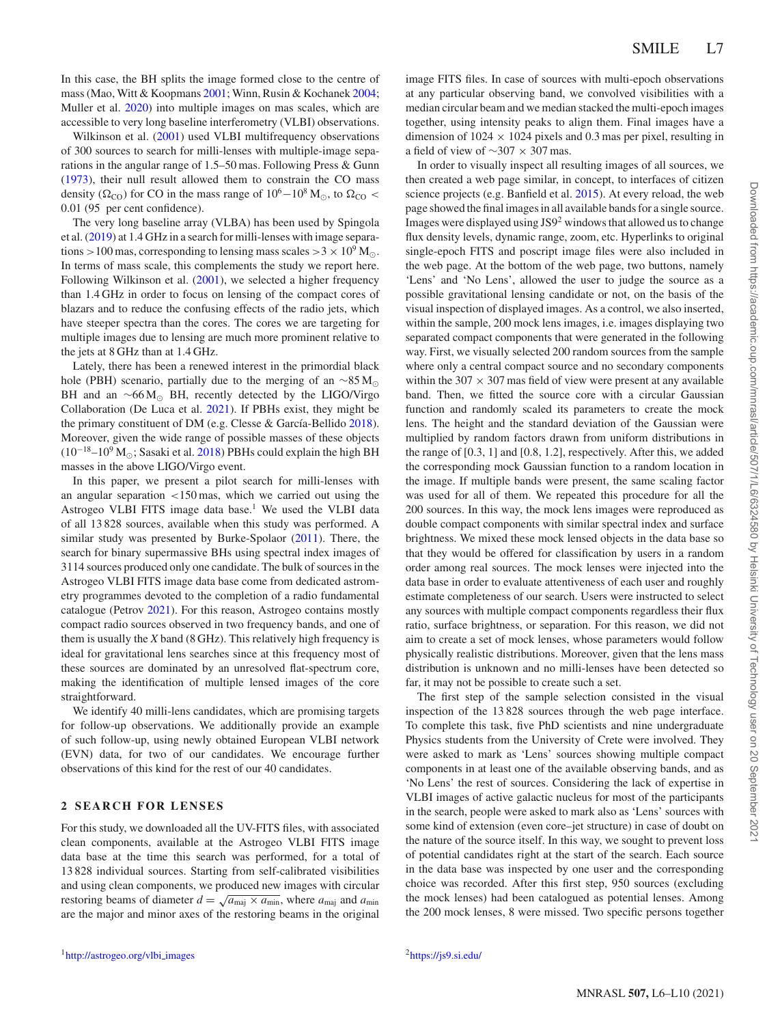In this case, the BH splits the image formed close to the centre of mass (Mao, Witt & Koopmans [2001;](#page-5-7) Winn, Rusin & Kochanek [2004;](#page-5-8) Muller et al. [2020\)](#page-5-9) into multiple images on mas scales, which are accessible to very long baseline interferometry (VLBI) observations.

Wilkinson et al. [\(2001\)](#page-5-10) used VLBI multifrequency observations of 300 sources to search for milli-lenses with multiple-image separations in the angular range of 1.5–50 mas. Following Press & Gunn [\(1973\)](#page-5-11), their null result allowed them to constrain the CO mass density ( $\Omega_{\text{CO}}$ ) for CO in the mass range of  $10^6-10^8$  M<sub> $\odot$ </sub>, to  $\Omega_{\text{CO}}$  < 0.01 (95 per cent confidence).

The very long baseline array (VLBA) has been used by Spingola et al. [\(2019\)](#page-5-12) at 1.4 GHz in a search for milli-lenses with image separations  $>100$  mas, corresponding to lensing mass scales  $>3 \times 10^9$  M<sub>o</sub>. In terms of mass scale, this complements the study we report here. Following Wilkinson et al. [\(2001\)](#page-5-10), we selected a higher frequency than 1.4 GHz in order to focus on lensing of the compact cores of blazars and to reduce the confusing effects of the radio jets, which have steeper spectra than the cores. The cores we are targeting for multiple images due to lensing are much more prominent relative to the jets at 8 GHz than at 1.4 GHz.

Lately, there has been a renewed interest in the primordial black hole (PBH) scenario, partially due to the merging of an  $\sim 85 M_{\odot}$ BH and an  $~\sim 66 M_{\odot}$  BH, recently detected by the LIGO/Virgo Collaboration (De Luca et al. [2021\)](#page-5-13). If PBHs exist, they might be the primary constituent of DM (e.g. Clesse  $&$  García-Bellido [2018\)](#page-5-14). Moreover, given the wide range of possible masses of these objects  $(10^{-18}-10^{9} M_{\odot})$ ; Sasaki et al. [2018\)](#page-5-15) PBHs could explain the high BH masses in the above LIGO/Virgo event.

In this paper, we present a pilot search for milli-lenses with an angular separation *<*150 mas, which we carried out using the Astrogeo VLBI FITS image data base.<sup>1</sup> We used the VLBI data of all 13 828 sources, available when this study was performed. A similar study was presented by Burke-Spolaor [\(2011\)](#page-5-16). There, the search for binary supermassive BHs using spectral index images of 3114 sources produced only one candidate. The bulk of sources in the Astrogeo VLBI FITS image data base come from dedicated astrometry programmes devoted to the completion of a radio fundamental catalogue (Petrov [2021\)](#page-5-17). For this reason, Astrogeo contains mostly compact radio sources observed in two frequency bands, and one of them is usually the *X* band (8 GHz). This relatively high frequency is ideal for gravitational lens searches since at this frequency most of these sources are dominated by an unresolved flat-spectrum core, making the identification of multiple lensed images of the core straightforward.

We identify 40 milli-lens candidates, which are promising targets for follow-up observations. We additionally provide an example of such follow-up, using newly obtained European VLBI network (EVN) data, for two of our candidates. We encourage further observations of this kind for the rest of our 40 candidates.

### **2 SEARCH FOR LENSES**

For this study, we downloaded all the UV-FITS files, with associated clean components, available at the Astrogeo VLBI FITS image data base at the time this search was performed, for a total of 13 828 individual sources. Starting from self-calibrated visibilities and using clean components, we produced new images with circular restoring beams of diameter  $d = \sqrt{a_{\text{maj}} \times a_{\text{min}}}$ , where  $a_{\text{maj}}$  and  $a_{\text{min}}$ are the major and minor axes of the restoring beams in the original

image FITS files. In case of sources with multi-epoch observations at any particular observing band, we convolved visibilities with a median circular beam and we median stacked the multi-epoch images together, using intensity peaks to align them. Final images have a dimension of  $1024 \times 1024$  pixels and 0.3 mas per pixel, resulting in a field of view of ∼307 × 307 mas.

In order to visually inspect all resulting images of all sources, we then created a web page similar, in concept, to interfaces of citizen science projects (e.g. Banfield et al. [2015\)](#page-5-18). At every reload, the web page showed the final images in all available bands for a single source. Images were displayed using JS9<sup>2</sup> windows that allowed us to change flux density levels, dynamic range, zoom, etc. Hyperlinks to original single-epoch FITS and poscript image files were also included in the web page. At the bottom of the web page, two buttons, namely 'Lens' and 'No Lens', allowed the user to judge the source as a possible gravitational lensing candidate or not, on the basis of the visual inspection of displayed images. As a control, we also inserted, within the sample, 200 mock lens images, i.e. images displaying two separated compact components that were generated in the following way. First, we visually selected 200 random sources from the sample where only a central compact source and no secondary components within the  $307 \times 307$  mas field of view were present at any available band. Then, we fitted the source core with a circular Gaussian function and randomly scaled its parameters to create the mock lens. The height and the standard deviation of the Gaussian were multiplied by random factors drawn from uniform distributions in the range of [0.3, 1] and [0.8, 1.2], respectively. After this, we added the corresponding mock Gaussian function to a random location in the image. If multiple bands were present, the same scaling factor was used for all of them. We repeated this procedure for all the 200 sources. In this way, the mock lens images were reproduced as double compact components with similar spectral index and surface brightness. We mixed these mock lensed objects in the data base so that they would be offered for classification by users in a random order among real sources. The mock lenses were injected into the data base in order to evaluate attentiveness of each user and roughly estimate completeness of our search. Users were instructed to select any sources with multiple compact components regardless their flux ratio, surface brightness, or separation. For this reason, we did not aim to create a set of mock lenses, whose parameters would follow physically realistic distributions. Moreover, given that the lens mass distribution is unknown and no milli-lenses have been detected so far, it may not be possible to create such a set.

The first step of the sample selection consisted in the visual inspection of the 13 828 sources through the web page interface. To complete this task, five PhD scientists and nine undergraduate Physics students from the University of Crete were involved. They were asked to mark as 'Lens' sources showing multiple compact components in at least one of the available observing bands, and as 'No Lens' the rest of sources. Considering the lack of expertise in VLBI images of active galactic nucleus for most of the participants in the search, people were asked to mark also as 'Lens' sources with some kind of extension (even core–jet structure) in case of doubt on the nature of the source itself. In this way, we sought to prevent loss of potential candidates right at the start of the search. Each source in the data base was inspected by one user and the corresponding choice was recorded. After this first step, 950 sources (excluding the mock lenses) had been catalogued as potential lenses. Among the 200 mock lenses, 8 were missed. Two specific persons together

Downloaded from https://academic.oup.com/mnrasl/article/507/1/L6/6324580 by Helsinki University of Technology user on 20 September 2022 Downloaded from https://academic.oup.com/mnrasl/article/507/1/L6/6324580 by Helsinki University of Technology user on 20 September 2021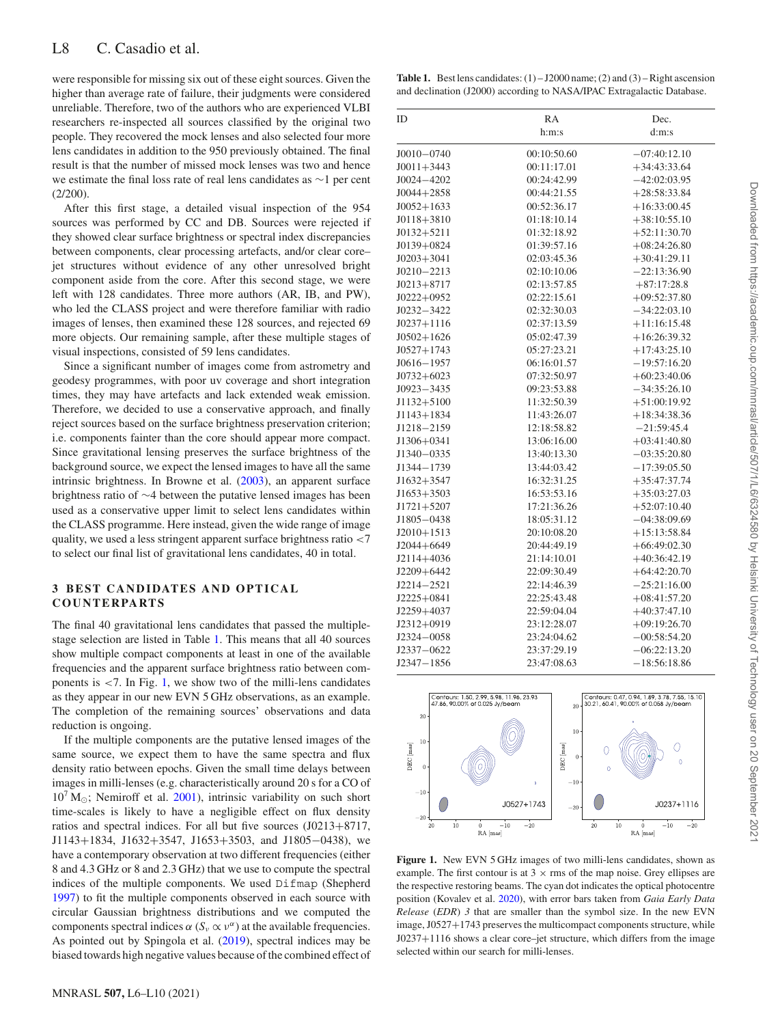were responsible for missing six out of these eight sources. Given the higher than average rate of failure, their judgments were considered unreliable. Therefore, two of the authors who are experienced VLBI researchers re-inspected all sources classified by the original two people. They recovered the mock lenses and also selected four more lens candidates in addition to the 950 previously obtained. The final result is that the number of missed mock lenses was two and hence we estimate the final loss rate of real lens candidates as ∼1 per cent  $(2/200)$ .

After this first stage, a detailed visual inspection of the 954 sources was performed by CC and DB. Sources were rejected if they showed clear surface brightness or spectral index discrepancies between components, clear processing artefacts, and/or clear core– jet structures without evidence of any other unresolved bright component aside from the core. After this second stage, we were left with 128 candidates. Three more authors (AR, IB, and PW), who led the CLASS project and were therefore familiar with radio images of lenses, then examined these 128 sources, and rejected 69 more objects. Our remaining sample, after these multiple stages of visual inspections, consisted of 59 lens candidates.

Since a significant number of images come from astrometry and geodesy programmes, with poor uv coverage and short integration times, they may have artefacts and lack extended weak emission. Therefore, we decided to use a conservative approach, and finally reject sources based on the surface brightness preservation criterion; i.e. components fainter than the core should appear more compact. Since gravitational lensing preserves the surface brightness of the background source, we expect the lensed images to have all the same intrinsic brightness. In Browne et al. [\(2003\)](#page-5-4), an apparent surface brightness ratio of ∼4 between the putative lensed images has been used as a conservative upper limit to select lens candidates within the CLASS programme. Here instead, given the wide range of image quality, we used a less stringent apparent surface brightness ratio *<*7 to select our final list of gravitational lens candidates, 40 in total.

# **3 BEST CANDIDATES AND OPTICAL COUNTERPARTS**

The final 40 gravitational lens candidates that passed the multiplestage selection are listed in Table [1.](#page-3-0) This means that all 40 sources show multiple compact components at least in one of the available frequencies and the apparent surface brightness ratio between components is *<*7. In Fig. [1,](#page-3-1) we show two of the milli-lens candidates as they appear in our new EVN 5 GHz observations, as an example. The completion of the remaining sources' observations and data reduction is ongoing.

If the multiple components are the putative lensed images of the same source, we expect them to have the same spectra and flux density ratio between epochs. Given the small time delays between images in milli-lenses (e.g. characteristically around 20 s for a CO of  $10^7$  M<sub> $\odot$ </sub>; Nemiroff et al. [2001\)](#page-5-19), intrinsic variability on such short time-scales is likely to have a negligible effect on flux density ratios and spectral indices. For all but five sources (J0213+8717, J1143+1834, J1632+3547, J1653+3503, and J1805−0438), we have a contemporary observation at two different frequencies (either 8 and 4.3 GHz or 8 and 2.3 GHz) that we use to compute the spectral indices of the multiple components. We used Difmap (Shepherd [1997\)](#page-5-20) to fit the multiple components observed in each source with circular Gaussian brightness distributions and we computed the components spectral indices *α* ( $S$ <sup>*ν*</sup> αt the available frequencies. As pointed out by Spingola et al. [\(2019\)](#page-5-12), spectral indices may be biased towards high negative values because of the combined effect of

<span id="page-3-0"></span>**Table 1.** Best lens candidates:  $(1) - J2000$  name;  $(2)$  and  $(3) -$ Right ascension and declination (J2000) according to NASA/IPAC Extragalactic Database.

| ID             | RA          | Dec.           |
|----------------|-------------|----------------|
|                | h:m:s       | d:m:s          |
| $J0010 - 0740$ | 00:10:50.60 | $-07:40:12.10$ |
| $J0011 + 3443$ | 00:11:17.01 | $+34:43:33.64$ |
| $J0024 - 4202$ | 00:24:42.99 | $-42:02:03.95$ |
| $J0044 + 2858$ | 00:44:21.55 | $+28:58:33.84$ |
| $J0052+1633$   | 00:52:36.17 | $+16:33:00.45$ |
| $J0118 + 3810$ | 01:18:10.14 | $+38:10:55.10$ |
| $J0132 + 5211$ | 01:32:18.92 | $+52:11:30.70$ |
| $J0139+0824$   | 01:39:57.16 | $+08:24:26.80$ |
| $J0203 + 3041$ | 02:03:45.36 | $+30:41:29.11$ |
| $J0210 - 2213$ | 02:10:10.06 | $-22:13:36.90$ |
| $J0213 + 8717$ | 02:13:57.85 | $+87:17:28.8$  |
| $J0222+0952$   | 02:22:15.61 | $+09:52:37.80$ |
| $J0232 - 3422$ | 02:32:30.03 | $-34:22:03.10$ |
| $J0237+1116$   | 02:37:13.59 | $+11:16:15.48$ |
| $J0502+1626$   | 05:02:47.39 | $+16:26:39.32$ |
| $J0527+1743$   | 05:27:23.21 | $+17:43:25.10$ |
| $J0616 - 1957$ | 06:16:01.57 | $-19:57:16.20$ |
| $J0732+6023$   | 07:32:50.97 | $+60:23:40.06$ |
| $J0923 - 3435$ | 09:23:53.88 | $-34:35:26.10$ |
| $J1132 + 5100$ | 11:32:50.39 | $+51:00:19.92$ |
| $J1143 + 1834$ | 11:43:26.07 | $+18:34:38.36$ |
| J1218-2159     | 12:18:58.82 | $-21:59:45.4$  |
| $J1306 + 0341$ | 13:06:16.00 | $+03:41:40.80$ |
| J1340-0335     | 13:40:13.30 | $-03:35:20.80$ |
| J1344-1739     | 13:44:03.42 | $-17:39:05.50$ |
| $J1632+3547$   | 16:32:31.25 | $+35:47:37.74$ |
| $J1653 + 3503$ | 16:53:53.16 | $+35:03:27.03$ |
| $J1721 + 5207$ | 17:21:36.26 | $+52:07:10.40$ |
| $J1805 - 0438$ | 18:05:31.12 | $-04:38:09.69$ |
| $J2010+1513$   | 20:10:08.20 | $+15:13:58.84$ |
| $J2044 + 6649$ | 20:44:49.19 | $+66:49:02.30$ |
| $J2114 + 4036$ | 21:14:10.01 | $+40:36:42.19$ |
| $J2209 + 6442$ | 22:09:30.49 | $+64:42:20.70$ |
| $J2214 - 2521$ | 22:14:46.39 | $-25:21:16.00$ |
| $J2225 + 0841$ | 22:25:43.48 | $+08:41:57.20$ |
| J2259+4037     | 22:59:04.04 | $+40:37:47.10$ |
| J2312+0919     | 23:12:28.07 | $+09:19:26.70$ |
| $J2324 - 0058$ | 23:24:04.62 | $-00:58:54.20$ |
| $J2337 - 0622$ | 23:37:29.19 | $-06:22:13.20$ |
| $J2347 - 1856$ | 23:47:08.63 | $-18:56:18.86$ |

<span id="page-3-1"></span>

**Figure 1.** New EVN 5 GHz images of two milli-lens candidates, shown as example. The first contour is at  $3 \times$  rms of the map noise. Grey ellipses are the respective restoring beams. The cyan dot indicates the optical photocentre position (Kovalev et al. [2020\)](#page-5-21), with error bars taken from *Gaia Early Data Release* (*EDR*) *3* that are smaller than the symbol size. In the new EVN image, J0527+1743 preserves the multicompact components structure, while J0237+1116 shows a clear core–jet structure, which differs from the image selected within our search for milli-lenses.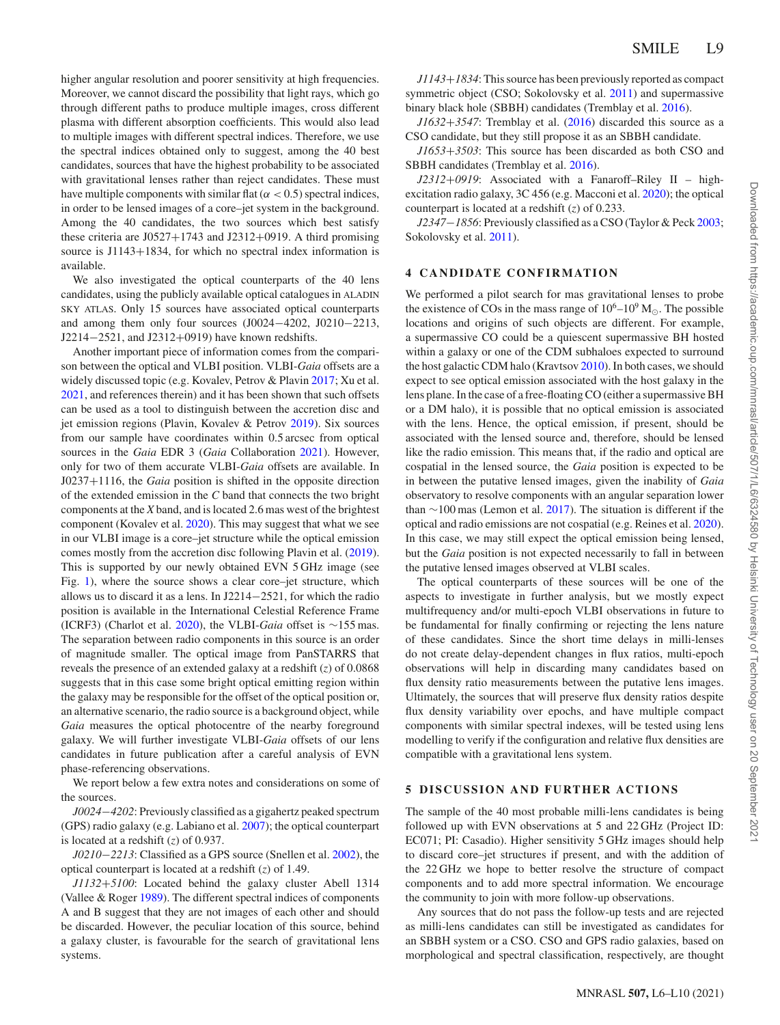higher angular resolution and poorer sensitivity at high frequencies. Moreover, we cannot discard the possibility that light rays, which go through different paths to produce multiple images, cross different plasma with different absorption coefficients. This would also lead to multiple images with different spectral indices. Therefore, we use the spectral indices obtained only to suggest, among the 40 best candidates, sources that have the highest probability to be associated with gravitational lenses rather than reject candidates. These must have multiple components with similar flat  $(\alpha < 0.5)$  spectral indices, in order to be lensed images of a core–jet system in the background. Among the 40 candidates, the two sources which best satisfy these criteria are J0527+1743 and J2312+0919. A third promising source is J1143+1834, for which no spectral index information is available.

We also investigated the optical counterparts of the 40 lens candidates, using the publicly available optical catalogues in ALADIN SKY ATLAS. Only 15 sources have associated optical counterparts and among them only four sources (J0024−4202, J0210−2213, J2214−2521, and J2312+0919) have known redshifts.

Another important piece of information comes from the comparison between the optical and VLBI position. VLBI-*Gaia* offsets are a widely discussed topic (e.g. Kovalev, Petrov & Plavin [2017;](#page-5-22) Xu et al. [2021,](#page-5-23) and references therein) and it has been shown that such offsets can be used as a tool to distinguish between the accretion disc and jet emission regions (Plavin, Kovalev & Petrov [2019\)](#page-5-24). Six sources from our sample have coordinates within 0.5 arcsec from optical sources in the *Gaia* EDR 3 (*Gaia* Collaboration [2021\)](#page-5-25). However, only for two of them accurate VLBI-*Gaia* offsets are available. In J0237+1116, the *Gaia* position is shifted in the opposite direction of the extended emission in the *C* band that connects the two bright components at the *X* band, and is located 2.6 mas west of the brightest component (Kovalev et al. [2020\)](#page-5-21). This may suggest that what we see in our VLBI image is a core–jet structure while the optical emission comes mostly from the accretion disc following Plavin et al. [\(2019\)](#page-5-24). This is supported by our newly obtained EVN 5 GHz image (see Fig. [1\)](#page-3-1), where the source shows a clear core–jet structure, which allows us to discard it as a lens. In J2214−2521, for which the radio position is available in the International Celestial Reference Frame (ICRF3) (Charlot et al. [2020\)](#page-5-26), the VLBI-*Gaia* offset is ∼155 mas. The separation between radio components in this source is an order of magnitude smaller. The optical image from PanSTARRS that reveals the presence of an extended galaxy at a redshift (*z*) of 0.0868 suggests that in this case some bright optical emitting region within the galaxy may be responsible for the offset of the optical position or, an alternative scenario, the radio source is a background object, while *Gaia* measures the optical photocentre of the nearby foreground galaxy. We will further investigate VLBI-*Gaia* offsets of our lens candidates in future publication after a careful analysis of EVN phase-referencing observations.

We report below a few extra notes and considerations on some of the sources.

*J0024*−*4202*: Previously classified as a gigahertz peaked spectrum (GPS) radio galaxy (e.g. Labiano et al. [2007\)](#page-5-27); the optical counterpart is located at a redshift (*z*) of 0.937.

*J0210*−*2213*: Classified as a GPS source (Snellen et al. [2002\)](#page-5-28), the optical counterpart is located at a redshift (*z*) of 1.49.

*J1132*+*5100*: Located behind the galaxy cluster Abell 1314 (Vallee & Roger [1989\)](#page-5-29). The different spectral indices of components A and B suggest that they are not images of each other and should be discarded. However, the peculiar location of this source, behind a galaxy cluster, is favourable for the search of gravitational lens systems.

*J1143*+*1834*: This source has been previously reported as compact symmetric object (CSO; Sokolovsky et al. [2011\)](#page-5-30) and supermassive binary black hole (SBBH) candidates (Tremblay et al. [2016\)](#page-5-31).

*J1632*+*3547*: Tremblay et al. [\(2016\)](#page-5-31) discarded this source as a CSO candidate, but they still propose it as an SBBH candidate.

*J1653*+*3503*: This source has been discarded as both CSO and SBBH candidates (Tremblay et al. [2016\)](#page-5-31).

*J2312*+*0919*: Associated with a Fanaroff–Riley II – highexcitation radio galaxy, 3C 456 (e.g. Macconi et al. [2020\)](#page-5-32); the optical counterpart is located at a redshift (*z*) of 0.233.

*J2347*−*1856*: Previously classified as a CSO (Taylor & Peck [2003;](#page-5-33) Sokolovsky et al. [2011\)](#page-5-30).

#### **4 CANDIDATE CONFIRMATION**

We performed a pilot search for mas gravitational lenses to probe the existence of COs in the mass range of  $10^6$ – $10^9$  M<sub> $\odot$ </sub>. The possible locations and origins of such objects are different. For example, a supermassive CO could be a quiescent supermassive BH hosted within a galaxy or one of the CDM subhaloes expected to surround the host galactic CDM halo (Kravtsov [2010\)](#page-5-34). In both cases, we should expect to see optical emission associated with the host galaxy in the lens plane. In the case of a free-floating CO (either a supermassive BH or a DM halo), it is possible that no optical emission is associated with the lens. Hence, the optical emission, if present, should be associated with the lensed source and, therefore, should be lensed like the radio emission. This means that, if the radio and optical are cospatial in the lensed source, the *Gaia* position is expected to be in between the putative lensed images, given the inability of *Gaia* observatory to resolve components with an angular separation lower than ∼100 mas (Lemon et al. [2017\)](#page-5-35). The situation is different if the optical and radio emissions are not cospatial (e.g. Reines et al. [2020\)](#page-5-36). In this case, we may still expect the optical emission being lensed, but the *Gaia* position is not expected necessarily to fall in between the putative lensed images observed at VLBI scales.

The optical counterparts of these sources will be one of the aspects to investigate in further analysis, but we mostly expect multifrequency and/or multi-epoch VLBI observations in future to be fundamental for finally confirming or rejecting the lens nature of these candidates. Since the short time delays in milli-lenses do not create delay-dependent changes in flux ratios, multi-epoch observations will help in discarding many candidates based on flux density ratio measurements between the putative lens images. Ultimately, the sources that will preserve flux density ratios despite flux density variability over epochs, and have multiple compact components with similar spectral indexes, will be tested using lens modelling to verify if the configuration and relative flux densities are compatible with a gravitational lens system.

## **5 DISCUSSION AND FURTHER ACTIONS**

The sample of the 40 most probable milli-lens candidates is being followed up with EVN observations at 5 and 22 GHz (Project ID: EC071; PI: Casadio). Higher sensitivity 5 GHz images should help to discard core–jet structures if present, and with the addition of the 22 GHz we hope to better resolve the structure of compact components and to add more spectral information. We encourage the community to join with more follow-up observations.

Any sources that do not pass the follow-up tests and are rejected as milli-lens candidates can still be investigated as candidates for an SBBH system or a CSO. CSO and GPS radio galaxies, based on morphological and spectral classification, respectively, are thought